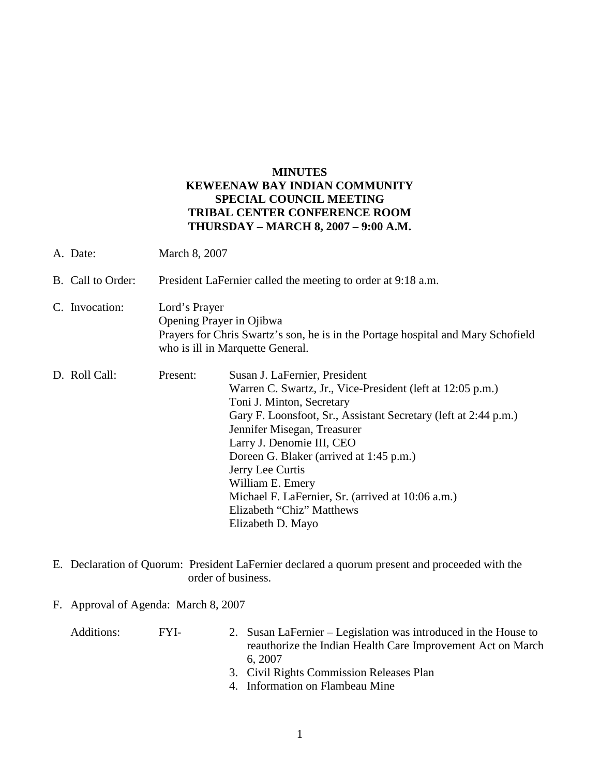## **MINUTES KEWEENAW BAY INDIAN COMMUNITY SPECIAL COUNCIL MEETING TRIBAL CENTER CONFERENCE ROOM THURSDAY – MARCH 8, 2007 – 9:00 A.M.**

- A. Date: March 8, 2007
- B. Call to Order: President LaFernier called the meeting to order at 9:18 a.m.
- C. Invocation: Lord's Prayer Opening Prayer in Ojibwa Prayers for Chris Swartz's son, he is in the Portage hospital and Mary Schofield who is ill in Marquette General.
- D. Roll Call: Present: Susan J. LaFernier, President Warren C. Swartz, Jr., Vice-President (left at 12:05 p.m.) Toni J. Minton, Secretary Gary F. Loonsfoot, Sr., Assistant Secretary (left at 2:44 p.m.) Jennifer Misegan, Treasurer Larry J. Denomie III, CEO Doreen G. Blaker (arrived at 1:45 p.m.) Jerry Lee Curtis William E. Emery Michael F. LaFernier, Sr. (arrived at 10:06 a.m.) Elizabeth "Chiz" Matthews Elizabeth D. Mayo
- E. Declaration of Quorum: President LaFernier declared a quorum present and proceeded with the order of business.
- F. Approval of Agenda: March 8, 2007

| Additions: | FYL- | 2. Susan LaFernier – Legislation was introduced in the House to |
|------------|------|-----------------------------------------------------------------|
|            |      | reauthorize the Indian Health Care Improvement Act on March     |
|            |      | 6.2007                                                          |
|            |      | 3. Civil Rights Commission Releases Plan                        |
|            |      | 1 Information on Flamboou Mine                                  |

4. Information on Flambeau Mine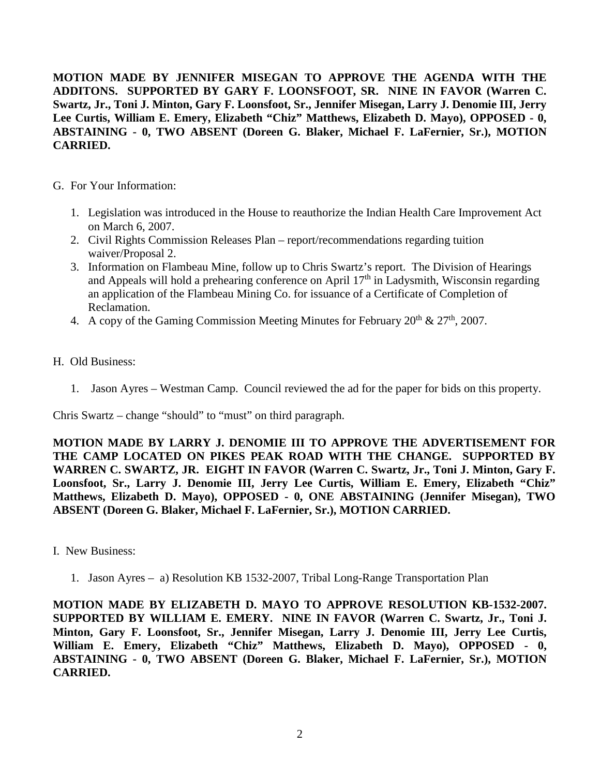**MOTION MADE BY JENNIFER MISEGAN TO APPROVE THE AGENDA WITH THE ADDITONS. SUPPORTED BY GARY F. LOONSFOOT, SR. NINE IN FAVOR (Warren C. Swartz, Jr., Toni J. Minton, Gary F. Loonsfoot, Sr., Jennifer Misegan, Larry J. Denomie III, Jerry Lee Curtis, William E. Emery, Elizabeth "Chiz" Matthews, Elizabeth D. Mayo), OPPOSED - 0, ABSTAINING - 0, TWO ABSENT (Doreen G. Blaker, Michael F. LaFernier, Sr.), MOTION CARRIED.**

- G. For Your Information:
	- 1. Legislation was introduced in the House to reauthorize the Indian Health Care Improvement Act on March 6, 2007.
	- 2. Civil Rights Commission Releases Plan report/recommendations regarding tuition waiver/Proposal 2.
	- 3. Information on Flambeau Mine, follow up to Chris Swartz's report. The Division of Hearings and Appeals will hold a prehearing conference on April  $17<sup>th</sup>$  in Ladysmith, Wisconsin regarding an application of the Flambeau Mining Co. for issuance of a Certificate of Completion of Reclamation.
	- 4. A copy of the Gaming Commission Meeting Minutes for February  $20^{th} \& 27^{th}$ ,  $2007$ .
- H. Old Business:
	- 1. Jason Ayres Westman Camp. Council reviewed the ad for the paper for bids on this property.

Chris Swartz – change "should" to "must" on third paragraph.

**MOTION MADE BY LARRY J. DENOMIE III TO APPROVE THE ADVERTISEMENT FOR THE CAMP LOCATED ON PIKES PEAK ROAD WITH THE CHANGE. SUPPORTED BY WARREN C. SWARTZ, JR. EIGHT IN FAVOR (Warren C. Swartz, Jr., Toni J. Minton, Gary F. Loonsfoot, Sr., Larry J. Denomie III, Jerry Lee Curtis, William E. Emery, Elizabeth "Chiz" Matthews, Elizabeth D. Mayo), OPPOSED - 0, ONE ABSTAINING (Jennifer Misegan), TWO ABSENT (Doreen G. Blaker, Michael F. LaFernier, Sr.), MOTION CARRIED.**

- I. New Business:
	- 1. Jason Ayres a) Resolution KB 1532-2007, Tribal Long-Range Transportation Plan

**MOTION MADE BY ELIZABETH D. MAYO TO APPROVE RESOLUTION KB-1532-2007. SUPPORTED BY WILLIAM E. EMERY. NINE IN FAVOR (Warren C. Swartz, Jr., Toni J. Minton, Gary F. Loonsfoot, Sr., Jennifer Misegan, Larry J. Denomie III, Jerry Lee Curtis, William E. Emery, Elizabeth "Chiz" Matthews, Elizabeth D. Mayo), OPPOSED - 0, ABSTAINING - 0, TWO ABSENT (Doreen G. Blaker, Michael F. LaFernier, Sr.), MOTION CARRIED.**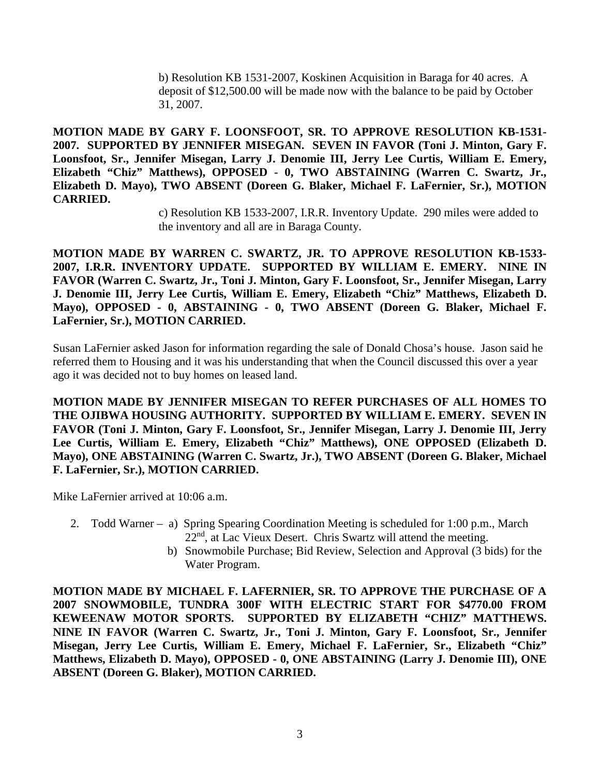b) Resolution KB 1531-2007, Koskinen Acquisition in Baraga for 40 acres. A deposit of \$12,500.00 will be made now with the balance to be paid by October 31, 2007.

**MOTION MADE BY GARY F. LOONSFOOT, SR. TO APPROVE RESOLUTION KB-1531- 2007. SUPPORTED BY JENNIFER MISEGAN. SEVEN IN FAVOR (Toni J. Minton, Gary F. Loonsfoot, Sr., Jennifer Misegan, Larry J. Denomie III, Jerry Lee Curtis, William E. Emery, Elizabeth "Chiz" Matthews), OPPOSED - 0, TWO ABSTAINING (Warren C. Swartz, Jr., Elizabeth D. Mayo), TWO ABSENT (Doreen G. Blaker, Michael F. LaFernier, Sr.), MOTION CARRIED.**

> c) Resolution KB 1533-2007, I.R.R. Inventory Update. 290 miles were added to the inventory and all are in Baraga County.

**MOTION MADE BY WARREN C. SWARTZ, JR. TO APPROVE RESOLUTION KB-1533- 2007, I.R.R. INVENTORY UPDATE. SUPPORTED BY WILLIAM E. EMERY. NINE IN FAVOR (Warren C. Swartz, Jr., Toni J. Minton, Gary F. Loonsfoot, Sr., Jennifer Misegan, Larry J. Denomie III, Jerry Lee Curtis, William E. Emery, Elizabeth "Chiz" Matthews, Elizabeth D. Mayo), OPPOSED - 0, ABSTAINING - 0, TWO ABSENT (Doreen G. Blaker, Michael F. LaFernier, Sr.), MOTION CARRIED.**

Susan LaFernier asked Jason for information regarding the sale of Donald Chosa's house. Jason said he referred them to Housing and it was his understanding that when the Council discussed this over a year ago it was decided not to buy homes on leased land.

**MOTION MADE BY JENNIFER MISEGAN TO REFER PURCHASES OF ALL HOMES TO THE OJIBWA HOUSING AUTHORITY. SUPPORTED BY WILLIAM E. EMERY. SEVEN IN FAVOR (Toni J. Minton, Gary F. Loonsfoot, Sr., Jennifer Misegan, Larry J. Denomie III, Jerry Lee Curtis, William E. Emery, Elizabeth "Chiz" Matthews), ONE OPPOSED (Elizabeth D. Mayo), ONE ABSTAINING (Warren C. Swartz, Jr.), TWO ABSENT (Doreen G. Blaker, Michael F. LaFernier, Sr.), MOTION CARRIED.**

Mike LaFernier arrived at 10:06 a.m.

- 2. Todd Warner a) Spring Spearing Coordination Meeting is scheduled for 1:00 p.m., March 22nd, at Lac Vieux Desert. Chris Swartz will attend the meeting.
	- b) Snowmobile Purchase; Bid Review, Selection and Approval (3 bids) for the Water Program.

**MOTION MADE BY MICHAEL F. LAFERNIER, SR. TO APPROVE THE PURCHASE OF A 2007 SNOWMOBILE, TUNDRA 300F WITH ELECTRIC START FOR \$4770.00 FROM KEWEENAW MOTOR SPORTS. SUPPORTED BY ELIZABETH "CHIZ" MATTHEWS. NINE IN FAVOR (Warren C. Swartz, Jr., Toni J. Minton, Gary F. Loonsfoot, Sr., Jennifer Misegan, Jerry Lee Curtis, William E. Emery, Michael F. LaFernier, Sr., Elizabeth "Chiz" Matthews, Elizabeth D. Mayo), OPPOSED - 0, ONE ABSTAINING (Larry J. Denomie III), ONE ABSENT (Doreen G. Blaker), MOTION CARRIED.**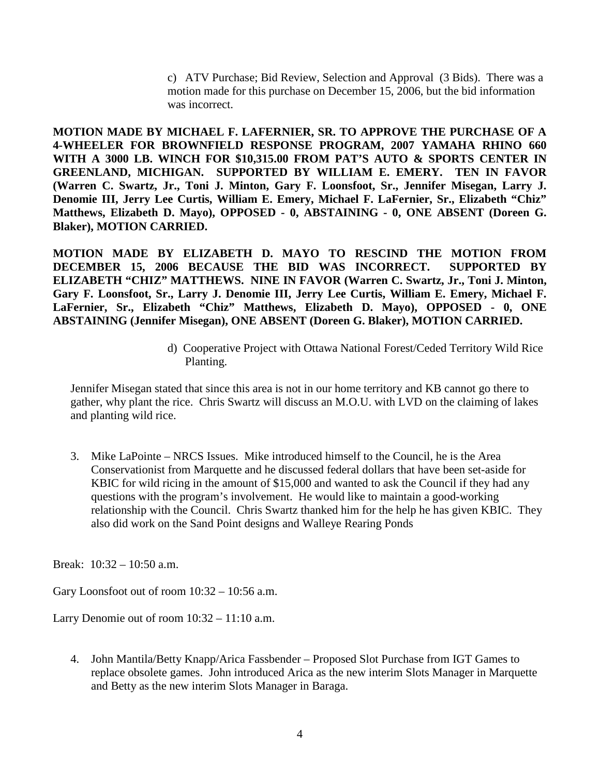c) ATV Purchase; Bid Review, Selection and Approval (3 Bids). There was a motion made for this purchase on December 15, 2006, but the bid information was incorrect.

**MOTION MADE BY MICHAEL F. LAFERNIER, SR. TO APPROVE THE PURCHASE OF A 4-WHEELER FOR BROWNFIELD RESPONSE PROGRAM, 2007 YAMAHA RHINO 660 WITH A 3000 LB. WINCH FOR \$10,315.00 FROM PAT'S AUTO & SPORTS CENTER IN GREENLAND, MICHIGAN. SUPPORTED BY WILLIAM E. EMERY. TEN IN FAVOR (Warren C. Swartz, Jr., Toni J. Minton, Gary F. Loonsfoot, Sr., Jennifer Misegan, Larry J. Denomie III, Jerry Lee Curtis, William E. Emery, Michael F. LaFernier, Sr., Elizabeth "Chiz" Matthews, Elizabeth D. Mayo), OPPOSED - 0, ABSTAINING - 0, ONE ABSENT (Doreen G. Blaker), MOTION CARRIED.**

**MOTION MADE BY ELIZABETH D. MAYO TO RESCIND THE MOTION FROM DECEMBER 15, 2006 BECAUSE THE BID WAS INCORRECT. SUPPORTED BY ELIZABETH "CHIZ" MATTHEWS. NINE IN FAVOR (Warren C. Swartz, Jr., Toni J. Minton, Gary F. Loonsfoot, Sr., Larry J. Denomie III, Jerry Lee Curtis, William E. Emery, Michael F. LaFernier, Sr., Elizabeth "Chiz" Matthews, Elizabeth D. Mayo), OPPOSED - 0, ONE ABSTAINING (Jennifer Misegan), ONE ABSENT (Doreen G. Blaker), MOTION CARRIED.**

> d) Cooperative Project with Ottawa National Forest/Ceded Territory Wild Rice Planting.

Jennifer Misegan stated that since this area is not in our home territory and KB cannot go there to gather, why plant the rice. Chris Swartz will discuss an M.O.U. with LVD on the claiming of lakes and planting wild rice.

3. Mike LaPointe – NRCS Issues. Mike introduced himself to the Council, he is the Area Conservationist from Marquette and he discussed federal dollars that have been set-aside for KBIC for wild ricing in the amount of \$15,000 and wanted to ask the Council if they had any questions with the program's involvement. He would like to maintain a good-working relationship with the Council. Chris Swartz thanked him for the help he has given KBIC. They also did work on the Sand Point designs and Walleye Rearing Ponds

Break: 10:32 – 10:50 a.m.

Gary Loonsfoot out of room 10:32 – 10:56 a.m.

Larry Denomie out of room 10:32 – 11:10 a.m.

4. John Mantila/Betty Knapp/Arica Fassbender – Proposed Slot Purchase from IGT Games to replace obsolete games. John introduced Arica as the new interim Slots Manager in Marquette and Betty as the new interim Slots Manager in Baraga.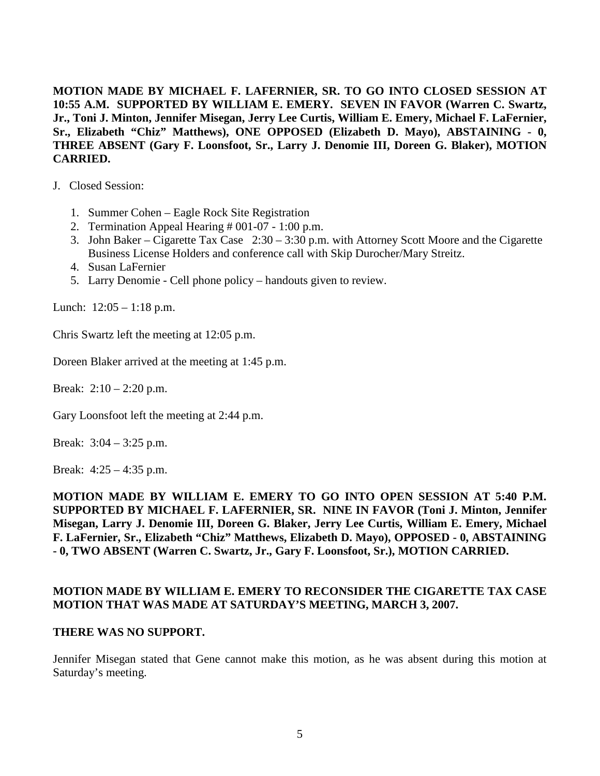**MOTION MADE BY MICHAEL F. LAFERNIER, SR. TO GO INTO CLOSED SESSION AT 10:55 A.M. SUPPORTED BY WILLIAM E. EMERY. SEVEN IN FAVOR (Warren C. Swartz, Jr., Toni J. Minton, Jennifer Misegan, Jerry Lee Curtis, William E. Emery, Michael F. LaFernier, Sr., Elizabeth "Chiz" Matthews), ONE OPPOSED (Elizabeth D. Mayo), ABSTAINING - 0, THREE ABSENT (Gary F. Loonsfoot, Sr., Larry J. Denomie III, Doreen G. Blaker), MOTION CARRIED.**

- J. Closed Session:
	- 1. Summer Cohen Eagle Rock Site Registration
	- 2. Termination Appeal Hearing # 001-07 1:00 p.m.
	- 3. John Baker Cigarette Tax Case 2:30 3:30 p.m. with Attorney Scott Moore and the Cigarette Business License Holders and conference call with Skip Durocher/Mary Streitz.
	- 4. Susan LaFernier
	- 5. Larry Denomie Cell phone policy handouts given to review.

Lunch:  $12:05 - 1:18$  p.m.

Chris Swartz left the meeting at 12:05 p.m.

Doreen Blaker arrived at the meeting at 1:45 p.m.

Break:  $2:10 - 2:20$  p.m.

Gary Loonsfoot left the meeting at 2:44 p.m.

Break: 3:04 – 3:25 p.m.

Break: 4:25 – 4:35 p.m.

**MOTION MADE BY WILLIAM E. EMERY TO GO INTO OPEN SESSION AT 5:40 P.M. SUPPORTED BY MICHAEL F. LAFERNIER, SR. NINE IN FAVOR (Toni J. Minton, Jennifer Misegan, Larry J. Denomie III, Doreen G. Blaker, Jerry Lee Curtis, William E. Emery, Michael F. LaFernier, Sr., Elizabeth "Chiz" Matthews, Elizabeth D. Mayo), OPPOSED - 0, ABSTAINING - 0, TWO ABSENT (Warren C. Swartz, Jr., Gary F. Loonsfoot, Sr.), MOTION CARRIED.**

## **MOTION MADE BY WILLIAM E. EMERY TO RECONSIDER THE CIGARETTE TAX CASE MOTION THAT WAS MADE AT SATURDAY'S MEETING, MARCH 3, 2007.**

## **THERE WAS NO SUPPORT.**

Jennifer Misegan stated that Gene cannot make this motion, as he was absent during this motion at Saturday's meeting.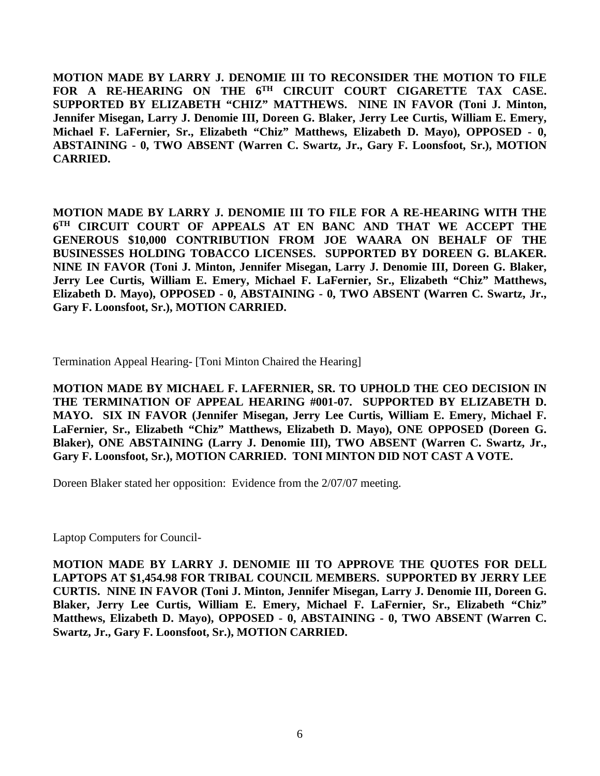**MOTION MADE BY LARRY J. DENOMIE III TO RECONSIDER THE MOTION TO FILE FOR A RE-HEARING ON THE 6TH CIRCUIT COURT CIGARETTE TAX CASE. SUPPORTED BY ELIZABETH "CHIZ" MATTHEWS. NINE IN FAVOR (Toni J. Minton, Jennifer Misegan, Larry J. Denomie III, Doreen G. Blaker, Jerry Lee Curtis, William E. Emery, Michael F. LaFernier, Sr., Elizabeth "Chiz" Matthews, Elizabeth D. Mayo), OPPOSED - 0, ABSTAINING - 0, TWO ABSENT (Warren C. Swartz, Jr., Gary F. Loonsfoot, Sr.), MOTION CARRIED.**

**MOTION MADE BY LARRY J. DENOMIE III TO FILE FOR A RE-HEARING WITH THE 6TH CIRCUIT COURT OF APPEALS AT EN BANC AND THAT WE ACCEPT THE GENEROUS \$10,000 CONTRIBUTION FROM JOE WAARA ON BEHALF OF THE BUSINESSES HOLDING TOBACCO LICENSES. SUPPORTED BY DOREEN G. BLAKER. NINE IN FAVOR (Toni J. Minton, Jennifer Misegan, Larry J. Denomie III, Doreen G. Blaker, Jerry Lee Curtis, William E. Emery, Michael F. LaFernier, Sr., Elizabeth "Chiz" Matthews, Elizabeth D. Mayo), OPPOSED - 0, ABSTAINING - 0, TWO ABSENT (Warren C. Swartz, Jr., Gary F. Loonsfoot, Sr.), MOTION CARRIED.**

Termination Appeal Hearing- [Toni Minton Chaired the Hearing]

**MOTION MADE BY MICHAEL F. LAFERNIER, SR. TO UPHOLD THE CEO DECISION IN THE TERMINATION OF APPEAL HEARING #001-07. SUPPORTED BY ELIZABETH D. MAYO. SIX IN FAVOR (Jennifer Misegan, Jerry Lee Curtis, William E. Emery, Michael F. LaFernier, Sr., Elizabeth "Chiz" Matthews, Elizabeth D. Mayo), ONE OPPOSED (Doreen G. Blaker), ONE ABSTAINING (Larry J. Denomie III), TWO ABSENT (Warren C. Swartz, Jr., Gary F. Loonsfoot, Sr.), MOTION CARRIED. TONI MINTON DID NOT CAST A VOTE.**

Doreen Blaker stated her opposition: Evidence from the 2/07/07 meeting.

Laptop Computers for Council-

**MOTION MADE BY LARRY J. DENOMIE III TO APPROVE THE QUOTES FOR DELL LAPTOPS AT \$1,454.98 FOR TRIBAL COUNCIL MEMBERS. SUPPORTED BY JERRY LEE CURTIS. NINE IN FAVOR (Toni J. Minton, Jennifer Misegan, Larry J. Denomie III, Doreen G. Blaker, Jerry Lee Curtis, William E. Emery, Michael F. LaFernier, Sr., Elizabeth "Chiz" Matthews, Elizabeth D. Mayo), OPPOSED - 0, ABSTAINING - 0, TWO ABSENT (Warren C. Swartz, Jr., Gary F. Loonsfoot, Sr.), MOTION CARRIED.**